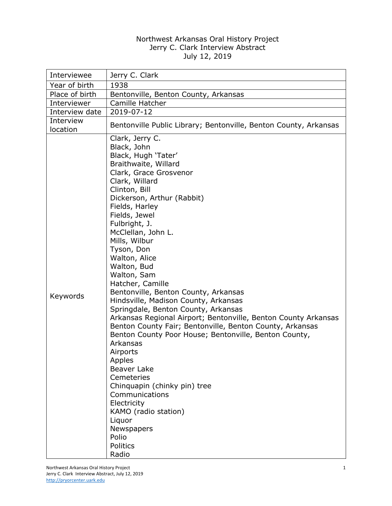## Northwest Arkansas Oral History Project Jerry C. Clark Interview Abstract July 12, 2019

| Interviewee           | Jerry C. Clark                                                                                                                                                                                                                                                                                                                                                                                                                                                                                                                                                                                                                                                                                                                                                                                                                                                                          |
|-----------------------|-----------------------------------------------------------------------------------------------------------------------------------------------------------------------------------------------------------------------------------------------------------------------------------------------------------------------------------------------------------------------------------------------------------------------------------------------------------------------------------------------------------------------------------------------------------------------------------------------------------------------------------------------------------------------------------------------------------------------------------------------------------------------------------------------------------------------------------------------------------------------------------------|
| Year of birth         | 1938                                                                                                                                                                                                                                                                                                                                                                                                                                                                                                                                                                                                                                                                                                                                                                                                                                                                                    |
| Place of birth        | Bentonville, Benton County, Arkansas                                                                                                                                                                                                                                                                                                                                                                                                                                                                                                                                                                                                                                                                                                                                                                                                                                                    |
| Interviewer           | Camille Hatcher                                                                                                                                                                                                                                                                                                                                                                                                                                                                                                                                                                                                                                                                                                                                                                                                                                                                         |
| Interview date        | 2019-07-12                                                                                                                                                                                                                                                                                                                                                                                                                                                                                                                                                                                                                                                                                                                                                                                                                                                                              |
| Interview<br>location | Bentonville Public Library; Bentonville, Benton County, Arkansas                                                                                                                                                                                                                                                                                                                                                                                                                                                                                                                                                                                                                                                                                                                                                                                                                        |
| Keywords              | Clark, Jerry C.<br>Black, John<br>Black, Hugh 'Tater'<br>Braithwaite, Willard<br>Clark, Grace Grosvenor<br>Clark, Willard<br>Clinton, Bill<br>Dickerson, Arthur (Rabbit)<br>Fields, Harley<br>Fields, Jewel<br>Fulbright, J.<br>McClellan, John L.<br>Mills, Wilbur<br>Tyson, Don<br>Walton, Alice<br>Walton, Bud<br>Walton, Sam<br>Hatcher, Camille<br>Bentonville, Benton County, Arkansas<br>Hindsville, Madison County, Arkansas<br>Springdale, Benton County, Arkansas<br>Arkansas Regional Airport; Bentonville, Benton County Arkansas<br>Benton County Fair; Bentonville, Benton County, Arkansas<br>Benton County Poor House; Bentonville, Benton County,<br>Arkansas<br>Airports<br>Apples<br><b>Beaver Lake</b><br>Cemeteries<br>Chinquapin (chinky pin) tree<br>Communications<br>Electricity<br>KAMO (radio station)<br>Liquor<br>Newspapers<br>Polio<br>Politics<br>Radio |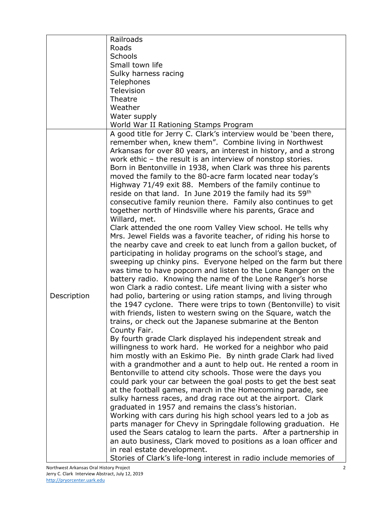|             | Railroads                                                          |
|-------------|--------------------------------------------------------------------|
|             | Roads                                                              |
|             | <b>Schools</b>                                                     |
|             | Small town life                                                    |
|             | Sulky harness racing                                               |
|             | Telephones                                                         |
|             |                                                                    |
|             | Television                                                         |
|             | Theatre                                                            |
|             | Weather                                                            |
|             | Water supply                                                       |
|             | World War II Rationing Stamps Program                              |
|             | A good title for Jerry C. Clark's interview would be 'been there,  |
|             | remember when, knew them". Combine living in Northwest             |
|             | Arkansas for over 80 years, an interest in history, and a strong   |
|             | work ethic - the result is an interview of nonstop stories.        |
|             | Born in Bentonville in 1938, when Clark was three his parents      |
|             |                                                                    |
|             | moved the family to the 80-acre farm located near today's          |
|             | Highway 71/49 exit 88. Members of the family continue to           |
|             | reside on that land. In June 2019 the family had its 59th          |
|             | consecutive family reunion there. Family also continues to get     |
|             | together north of Hindsville where his parents, Grace and          |
|             | Willard, met.                                                      |
|             | Clark attended the one room Valley View school. He tells why       |
|             | Mrs. Jewel Fields was a favorite teacher, of riding his horse to   |
|             |                                                                    |
|             | the nearby cave and creek to eat lunch from a gallon bucket, of    |
|             | participating in holiday programs on the school's stage, and       |
|             | sweeping up chinky pins. Everyone helped on the farm but there     |
|             | was time to have popcorn and listen to the Lone Ranger on the      |
|             | battery radio. Knowing the name of the Lone Ranger's horse         |
|             | won Clark a radio contest. Life meant living with a sister who     |
| Description | had polio, bartering or using ration stamps, and living through    |
|             | the 1947 cyclone. There were trips to town (Bentonville) to visit  |
|             | with friends, listen to western swing on the Square, watch the     |
|             |                                                                    |
|             | trains, or check out the Japanese submarine at the Benton          |
|             | County Fair.                                                       |
|             | By fourth grade Clark displayed his independent streak and         |
|             | willingness to work hard. He worked for a neighbor who paid        |
|             | him mostly with an Eskimo Pie. By ninth grade Clark had lived      |
|             | with a grandmother and a aunt to help out. He rented a room in     |
|             | Bentonville to attend city schools. Those were the days you        |
|             | could park your car between the goal posts to get the best seat    |
|             | at the football games, march in the Homecoming parade, see         |
|             |                                                                    |
|             | sulky harness races, and drag race out at the airport. Clark       |
|             | graduated in 1957 and remains the class's historian.               |
|             | Working with cars during his high school years led to a job as     |
|             | parts manager for Chevy in Springdale following graduation. He     |
|             | used the Sears catalog to learn the parts. After a partnership in  |
|             | an auto business, Clark moved to positions as a loan officer and   |
|             | in real estate development.                                        |
|             | Stories of Clark's life-long interest in radio include memories of |
|             |                                                                    |